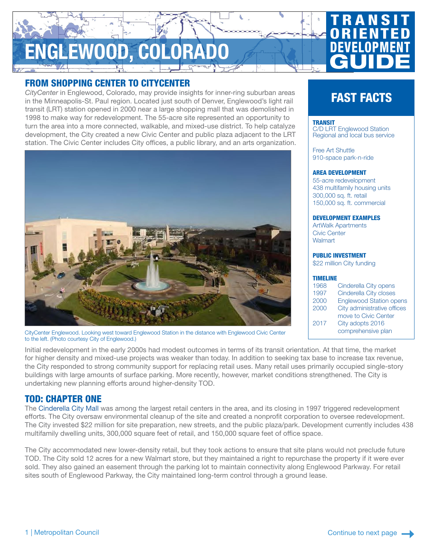# NGLEWOOD, COLORADO

# **TRANSIT ORIENTED** DEVELOPMENT **GUIDE**

# FROM SHOPPING CENTER TO CITYCENTER

*CityCenter* in Englewood, Colorado, may provide insights for inner-ring suburban areas in the Minneapolis-St. Paul region. Located just south of Denver, Englewood's light rail transit (LRT) station opened in 2000 near a large shopping mall that was demolished in 1998 to make way for redevelopment. The 55-acre site represented an opportunity to turn the area into a more connected, walkable, and mixed-use district. To help catalyze development, the City created a new Civic Center and public plaza adjacent to the LRT station. The Civic Center includes City offices, a public library, and an arts organization.



CityCenter Englewood. Looking west toward Englewood Station in the distance with Englewood Civic Center to the left. (Photo courtesy City of Englewood.)

# FAST FACTS

#### **TRANSIT**

[C/D LRT Englewood Station](http://www.rtd-denver.com/routemaps/2591/101_SW.pdf) Regional and local bus service

[Free Art Shuttle](http://www.englewoodco.gov/our-community/regional-transportation-services/art-circulator-shuttle) 910-space park-n-ride

#### AREA DEVELOPMENT

55-acre redevelopment 438 multifamily housing units 300,000 sq. ft. retail 150,000 sq. ft. commercial

#### DEVELOPMENT EXAMPLES

ArtWalk Apartments Civic Center **Walmart** 

#### PUBLIC INVESTMENT

\$22 million City funding

#### TIMELINE

| 1968 | Cinderella City opens          |
|------|--------------------------------|
| 1997 | Cinderella City closes         |
| 2000 | <b>Englewood Station opens</b> |
| 2000 | City administrative offices    |
|      | move to Civic Center           |
| 2017 | City adopts 2016               |
|      | comprehensive plan             |

Initial redevelopment in the early 2000s had modest outcomes in terms of its transit orientation. At that time, the market for higher density and mixed-use projects was weaker than today. In addition to seeking tax base to increase tax revenue, the City responded to strong community support for replacing retail uses. Many retail uses primarily occupied single-story buildings with large amounts of surface parking. More recently, however, market conditions strengthened. The City is undertaking new planning efforts around higher-density TOD.

## TOD: CHAPTER ONE

The [Cinderella City Mall](https://web.archive.org/web/20170701053337/http:/englewoodgov.org/inside-city-hall/city-departments/community-development/redevelopment-projects/citycenter-englewood/history-of-cinderella-city-mall) was among the largest retail centers in the area, and its closing in 1997 triggered redevelopment efforts. The City oversaw environmental cleanup of the site and created a nonprofit corporation to oversee redevelopment. The City invested \$22 million for site preparation, new streets, and the public plaza/park. Development currently includes 438 multifamily dwelling units, 300,000 square feet of retail, and 150,000 square feet of office space.

The City accommodated new lower-density retail, but they took actions to ensure that site plans would not preclude future TOD. The City sold 12 acres for a new Walmart store, but they maintained a right to repurchase the property if it were ever sold. They also gained an easement through the parking lot to maintain connectivity along Englewood Parkway. For retail sites south of Englewood Parkway, the City maintained long-term control through a ground lease.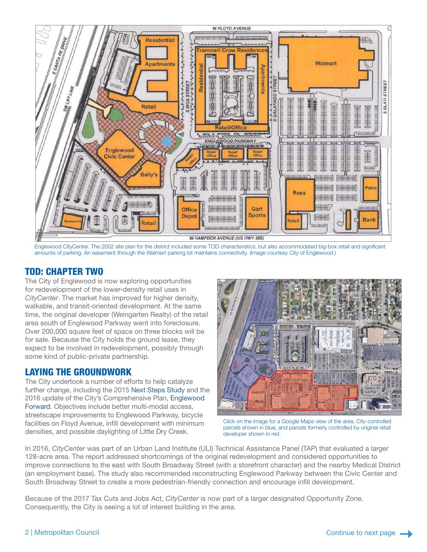

Englewood CityCenter. The 2002 site plan for the district included some TOD characteristics, but also accommodated big-box retail and significant amounts of parking. An easement through the Walmart parking lot maintains connectivity. (Image courtesy City of Englewood.)

# TOD: CHAPTER TWO

The City of Englewood is now exploring opportunities for redevelopment of the lower-density retail uses in *CityCenter*. The market has improved for higher density, walkable, and transit-oriented development. At the same time, the original developer (Weingarten Realty) of the retail area south of Englewood Parkway went into foreclosure. Over 200,000 square feet of space on three blocks will be for sale. Because the City holds the ground lease, they expect to be involved in redevelopment, possibly through some kind of public-private partnership.

# LAYING THE GROUNDWORK

The City undertook a number of efforts to help catalyze further change, including the 2015 [Next Steps Study](http://www.englewoodco.gov/home/showdocument?id=14912) and the 2016 update of the City's Comprehensive Plan, [Englewood](http://www.englewoodco.gov/home/showdocument?id=17175)  [Forward](http://www.englewoodco.gov/home/showdocument?id=17175). Objectives include better multi-modal access, streetscape improvements to Englewood Parkway, bicycle facilities on Floyd Avenue, infill development with minimum densities, and possible daylighting of Little Dry Creek.



Click on the image for a Google Maps view of the area. City-controlled parcels shown in blue, and parcels formerly controlled by original retail developer shown in red.

In 2016, *CityCenter* was part of an Urban Land Institute (ULI) Technical Assistance Panel (TAP) that evaluated a larger 128-acre area. The report addressed shortcomings of the original redevelopment and considered opportunities to improve connections to the east with South Broadway Street (with a storefront character) and the nearby Medical District (an employment base). The study also recommended reconstructing Englewood Parkway between the Civic Center and South Broadway Street to create a more pedestrian-friendly connection and encourage infill development.

Because of the 2017 Tax Cuts and Jobs Act, *CityCenter* is now part of a larger designated Opportunity Zone. Consequently, the City is seeing a lot of interest building in the area.